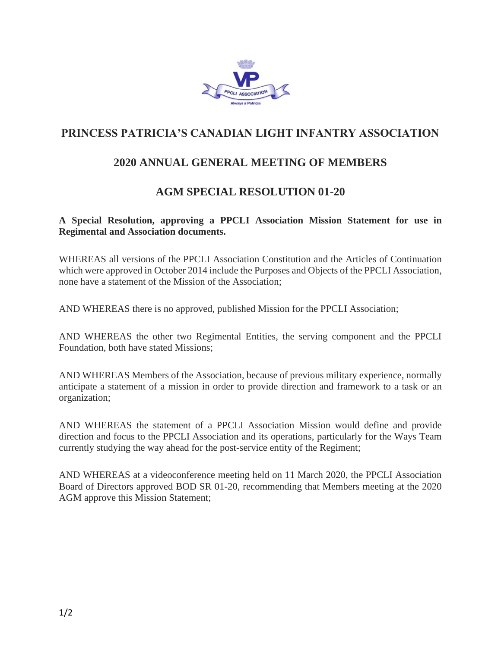

# **PRINCESS PATRICIA'S CANADIAN LIGHT INFANTRY ASSOCIATION**

## **2020 ANNUAL GENERAL MEETING OF MEMBERS**

## **AGM SPECIAL RESOLUTION 01-20**

### **A Special Resolution, approving a PPCLI Association Mission Statement for use in Regimental and Association documents.**

WHEREAS all versions of the PPCLI Association Constitution and the Articles of Continuation which were approved in October 2014 include the Purposes and Objects of the PPCLI Association, none have a statement of the Mission of the Association;

AND WHEREAS there is no approved, published Mission for the PPCLI Association;

AND WHEREAS the other two Regimental Entities, the serving component and the PPCLI Foundation, both have stated Missions;

AND WHEREAS Members of the Association, because of previous military experience, normally anticipate a statement of a mission in order to provide direction and framework to a task or an organization;

AND WHEREAS the statement of a PPCLI Association Mission would define and provide direction and focus to the PPCLI Association and its operations, particularly for the Ways Team currently studying the way ahead for the post-service entity of the Regiment;

AND WHEREAS at a videoconference meeting held on 11 March 2020, the PPCLI Association Board of Directors approved BOD SR 01-20, recommending that Members meeting at the 2020 AGM approve this Mission Statement;